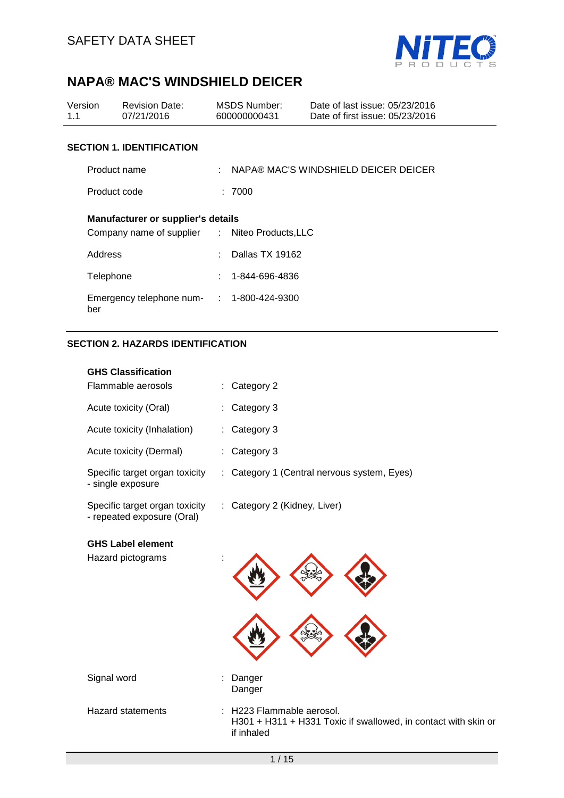

| Version<br>1.1 | <b>Revision Date:</b><br>07/21/2016                                                         |                             | <b>MSDS Number:</b><br>600000000431  | Date of last issue: 05/23/2016<br>Date of first issue: 05/23/2016 |  |  |  |
|----------------|---------------------------------------------------------------------------------------------|-----------------------------|--------------------------------------|-------------------------------------------------------------------|--|--|--|
|                | <b>SECTION 1. IDENTIFICATION</b>                                                            |                             |                                      |                                                                   |  |  |  |
|                | Product name                                                                                |                             | NAPA® MAC'S WINDSHIELD DEICER DEICER |                                                                   |  |  |  |
| Product code   |                                                                                             |                             | : 7000                               |                                                                   |  |  |  |
| Address        | <b>Manufacturer or supplier's details</b><br>Company name of supplier : Niteo Products, LLC |                             | Dallas TX 19162                      |                                                                   |  |  |  |
| Telephone      |                                                                                             | $\mathcal{F}_{\mathcal{A}}$ | 1-844-696-4836                       |                                                                   |  |  |  |
| ber            | Emergency telephone num- : 1-800-424-9300                                                   |                             |                                      |                                                                   |  |  |  |
|                | <b>SECTION 2. HAZARDS IDENTIFICATION</b>                                                    |                             |                                      |                                                                   |  |  |  |

# **GHS Classification** Flammable aerosols : Category 2 Acute toxicity (Oral) : Category 3 Acute toxicity (Inhalation) : Category 3 Acute toxicity (Dermal) : Category 3 Specific target organ toxicity - single exposure : Category 1 (Central nervous system, Eyes) Specific target organ toxicity - repeated exposure (Oral) : Category 2 (Kidney, Liver) **GHS Label element**  Hazard pictograms : Signal word in the state of the Signal word in the Danger Danger Hazard statements : H223 Flammable aerosol. H301 + H311 + H331 Toxic if swallowed, in contact with skin or if inhaled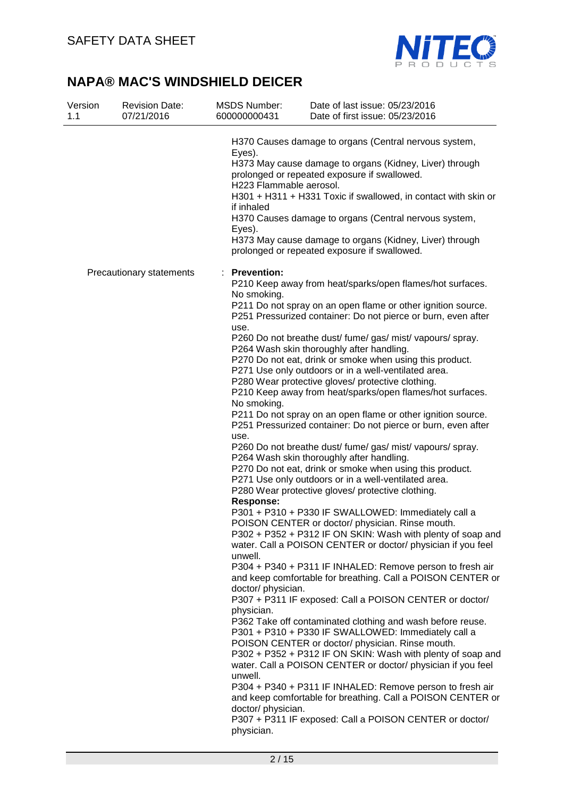

| Version<br>1.1 | <b>Revision Date:</b><br>07/21/2016 | <b>MSDS Number:</b><br>600000000431                                                                                                                                                | Date of last issue: 05/23/2016<br>Date of first issue: 05/23/2016                                                                                                                                                                                                                                                                                                                                                                                                                                                                                                                                                                                                                                                                                                                                                                                                                                                                                                                                                                                                                                                                                                                                                                                                                                                                                                                                                                                                                                                                                                                                                                                                                                                                                                                                                                                                                                |
|----------------|-------------------------------------|------------------------------------------------------------------------------------------------------------------------------------------------------------------------------------|--------------------------------------------------------------------------------------------------------------------------------------------------------------------------------------------------------------------------------------------------------------------------------------------------------------------------------------------------------------------------------------------------------------------------------------------------------------------------------------------------------------------------------------------------------------------------------------------------------------------------------------------------------------------------------------------------------------------------------------------------------------------------------------------------------------------------------------------------------------------------------------------------------------------------------------------------------------------------------------------------------------------------------------------------------------------------------------------------------------------------------------------------------------------------------------------------------------------------------------------------------------------------------------------------------------------------------------------------------------------------------------------------------------------------------------------------------------------------------------------------------------------------------------------------------------------------------------------------------------------------------------------------------------------------------------------------------------------------------------------------------------------------------------------------------------------------------------------------------------------------------------------------|
|                |                                     | Eyes).<br>H223 Flammable aerosol.<br>if inhaled<br>Eyes).                                                                                                                          | H370 Causes damage to organs (Central nervous system,<br>H373 May cause damage to organs (Kidney, Liver) through<br>prolonged or repeated exposure if swallowed.<br>H301 + H311 + H331 Toxic if swallowed, in contact with skin or<br>H370 Causes damage to organs (Central nervous system,<br>H373 May cause damage to organs (Kidney, Liver) through<br>prolonged or repeated exposure if swallowed.                                                                                                                                                                                                                                                                                                                                                                                                                                                                                                                                                                                                                                                                                                                                                                                                                                                                                                                                                                                                                                                                                                                                                                                                                                                                                                                                                                                                                                                                                           |
|                | Precautionary statements            | <b>Prevention:</b><br>No smoking.<br>use.<br>No smoking.<br>use.<br><b>Response:</b><br>unwell.<br>doctor/ physician.<br>physician.<br>unwell.<br>doctor/ physician.<br>physician. | P210 Keep away from heat/sparks/open flames/hot surfaces.<br>P211 Do not spray on an open flame or other ignition source.<br>P251 Pressurized container: Do not pierce or burn, even after<br>P260 Do not breathe dust/ fume/ gas/ mist/ vapours/ spray.<br>P264 Wash skin thoroughly after handling.<br>P270 Do not eat, drink or smoke when using this product.<br>P271 Use only outdoors or in a well-ventilated area.<br>P280 Wear protective gloves/ protective clothing.<br>P210 Keep away from heat/sparks/open flames/hot surfaces.<br>P211 Do not spray on an open flame or other ignition source.<br>P251 Pressurized container: Do not pierce or burn, even after<br>P260 Do not breathe dust/ fume/ gas/ mist/ vapours/ spray.<br>P264 Wash skin thoroughly after handling.<br>P270 Do not eat, drink or smoke when using this product.<br>P271 Use only outdoors or in a well-ventilated area.<br>P280 Wear protective gloves/ protective clothing.<br>P301 + P310 + P330 IF SWALLOWED: Immediately call a<br>POISON CENTER or doctor/ physician. Rinse mouth.<br>P302 + P352 + P312 IF ON SKIN: Wash with plenty of soap and<br>water. Call a POISON CENTER or doctor/ physician if you feel<br>P304 + P340 + P311 IF INHALED: Remove person to fresh air<br>and keep comfortable for breathing. Call a POISON CENTER or<br>P307 + P311 IF exposed: Call a POISON CENTER or doctor/<br>P362 Take off contaminated clothing and wash before reuse.<br>P301 + P310 + P330 IF SWALLOWED: Immediately call a<br>POISON CENTER or doctor/ physician. Rinse mouth.<br>P302 + P352 + P312 IF ON SKIN: Wash with plenty of soap and<br>water. Call a POISON CENTER or doctor/ physician if you feel<br>P304 + P340 + P311 IF INHALED: Remove person to fresh air<br>and keep comfortable for breathing. Call a POISON CENTER or<br>P307 + P311 IF exposed: Call a POISON CENTER or doctor/ |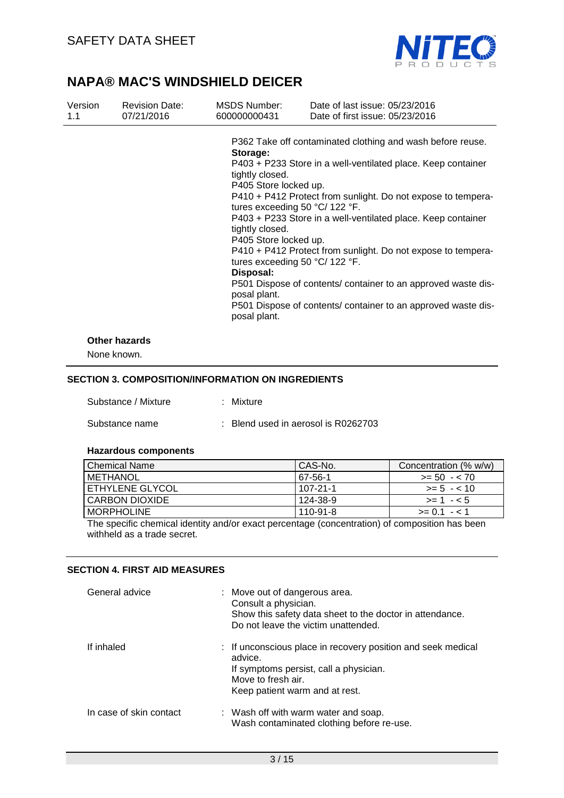

| Version<br>1.1 | <b>Revision Date:</b><br>07/21/2016 | <b>MSDS Number:</b><br>600000000431                                                                                                           | Date of last issue: 05/23/2016<br>Date of first issue: 05/23/2016                                                                                                                                                                                                                                                                                                                                                                                                                                                                                                    |
|----------------|-------------------------------------|-----------------------------------------------------------------------------------------------------------------------------------------------|----------------------------------------------------------------------------------------------------------------------------------------------------------------------------------------------------------------------------------------------------------------------------------------------------------------------------------------------------------------------------------------------------------------------------------------------------------------------------------------------------------------------------------------------------------------------|
|                |                                     | Storage:<br>tightly closed.<br>P405 Store locked up.<br>tightly closed.<br>P405 Store locked up.<br>Disposal:<br>posal plant.<br>posal plant. | P362 Take off contaminated clothing and wash before reuse.<br>P403 + P233 Store in a well-ventilated place. Keep container<br>P410 + P412 Protect from sunlight. Do not expose to tempera-<br>tures exceeding 50 $\degree$ C/ 122 $\degree$ F.<br>P403 + P233 Store in a well-ventilated place. Keep container<br>P410 + P412 Protect from sunlight. Do not expose to tempera-<br>tures exceeding 50 $\degree$ C/ 122 $\degree$ F.<br>P501 Dispose of contents/ container to an approved waste dis-<br>P501 Dispose of contents/ container to an approved waste dis- |
|                | <b>Other hazards</b>                |                                                                                                                                               |                                                                                                                                                                                                                                                                                                                                                                                                                                                                                                                                                                      |

None known.

### **SECTION 3. COMPOSITION/INFORMATION ON INGREDIENTS**

| Substance / Mixture | : Mixture                           |
|---------------------|-------------------------------------|
| Substance name      | : Blend used in aerosol is R0262703 |

#### **Hazardous components**

| l Chemical Name  | l CAS-No. | Concentration (% w/w) |
|------------------|-----------|-----------------------|
| <b>METHANOL</b>  | 67-56-1   | $>= 50 - 70$          |
| ETHYLENE GLYCOL  | 107-21-1  | $>= 5 - 10$           |
| I CARBON DIOXIDE | 124-38-9  | $>= 1 - 5$            |
| ' MORPHOLINE     | 110-91-8  | $>= 0.1 - 1.1$        |

The specific chemical identity and/or exact percentage (concentration) of composition has been withheld as a trade secret.

## **SECTION 4. FIRST AID MEASURES**

| General advice          | : Move out of dangerous area.<br>Consult a physician.<br>Show this safety data sheet to the doctor in attendance.<br>Do not leave the victim unattended.                  |
|-------------------------|---------------------------------------------------------------------------------------------------------------------------------------------------------------------------|
| If inhaled              | : If unconscious place in recovery position and seek medical<br>advice.<br>If symptoms persist, call a physician.<br>Move to fresh air.<br>Keep patient warm and at rest. |
| In case of skin contact | : Wash off with warm water and soap.<br>Wash contaminated clothing before re-use.                                                                                         |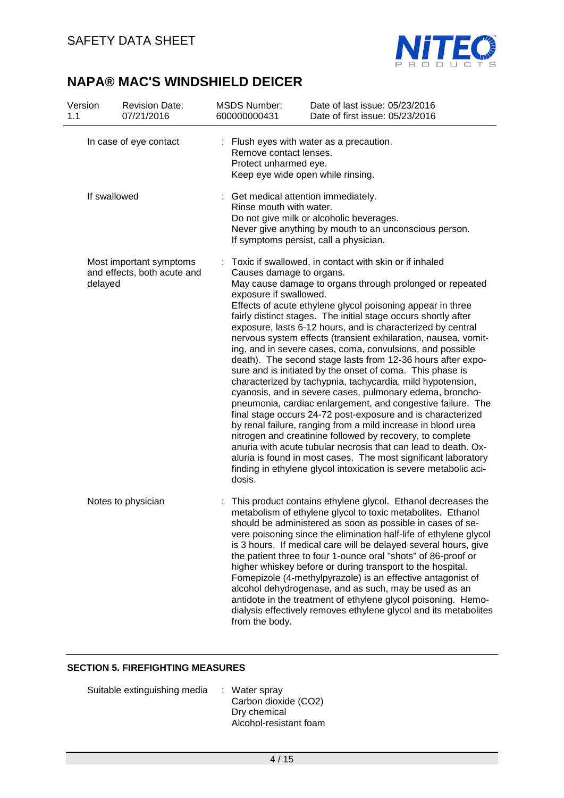

| Version<br>1.1                                                    | <b>Revision Date:</b><br>07/21/2016 | <b>MSDS Number:</b><br>600000000431                          | Date of last issue: 05/23/2016<br>Date of first issue: 05/23/2016                                                                                                                                                                                                                                                                                                                                                                                                                                                                                                                                                                                                                                                                                                                                                                                                                                                                                                                                                                                                                                                                                                         |  |  |
|-------------------------------------------------------------------|-------------------------------------|--------------------------------------------------------------|---------------------------------------------------------------------------------------------------------------------------------------------------------------------------------------------------------------------------------------------------------------------------------------------------------------------------------------------------------------------------------------------------------------------------------------------------------------------------------------------------------------------------------------------------------------------------------------------------------------------------------------------------------------------------------------------------------------------------------------------------------------------------------------------------------------------------------------------------------------------------------------------------------------------------------------------------------------------------------------------------------------------------------------------------------------------------------------------------------------------------------------------------------------------------|--|--|
|                                                                   | In case of eye contact              | Remove contact lenses.<br>Protect unharmed eye.              | : Flush eyes with water as a precaution.<br>Keep eye wide open while rinsing.                                                                                                                                                                                                                                                                                                                                                                                                                                                                                                                                                                                                                                                                                                                                                                                                                                                                                                                                                                                                                                                                                             |  |  |
| If swallowed                                                      |                                     |                                                              | Get medical attention immediately.<br>Rinse mouth with water.<br>Do not give milk or alcoholic beverages.<br>Never give anything by mouth to an unconscious person.<br>If symptoms persist, call a physician.                                                                                                                                                                                                                                                                                                                                                                                                                                                                                                                                                                                                                                                                                                                                                                                                                                                                                                                                                             |  |  |
| Most important symptoms<br>and effects, both acute and<br>delayed |                                     | Causes damage to organs.<br>exposure if swallowed.<br>dosis. | Toxic if swallowed, in contact with skin or if inhaled<br>May cause damage to organs through prolonged or repeated<br>Effects of acute ethylene glycol poisoning appear in three<br>fairly distinct stages. The initial stage occurs shortly after<br>exposure, lasts 6-12 hours, and is characterized by central<br>nervous system effects (transient exhilaration, nausea, vomit-<br>ing, and in severe cases, coma, convulsions, and possible<br>death). The second stage lasts from 12-36 hours after expo-<br>sure and is initiated by the onset of coma. This phase is<br>characterized by tachypnia, tachycardia, mild hypotension,<br>cyanosis, and in severe cases, pulmonary edema, broncho-<br>pneumonia, cardiac enlargement, and congestive failure. The<br>final stage occurs 24-72 post-exposure and is characterized<br>by renal failure, ranging from a mild increase in blood urea<br>nitrogen and creatinine followed by recovery, to complete<br>anuria with acute tubular necrosis that can lead to death. Ox-<br>aluria is found in most cases. The most significant laboratory<br>finding in ethylene glycol intoxication is severe metabolic aci- |  |  |
|                                                                   | Notes to physician                  | from the body.                                               | This product contains ethylene glycol. Ethanol decreases the<br>metabolism of ethylene glycol to toxic metabolites. Ethanol<br>should be administered as soon as possible in cases of se-<br>vere poisoning since the elimination half-life of ethylene glycol<br>is 3 hours. If medical care will be delayed several hours, give<br>the patient three to four 1-ounce oral "shots" of 86-proof or<br>higher whiskey before or during transport to the hospital.<br>Fomepizole (4-methylpyrazole) is an effective antagonist of<br>alcohol dehydrogenase, and as such, may be used as an<br>antidote in the treatment of ethylene glycol poisoning. Hemo-<br>dialysis effectively removes ethylene glycol and its metabolites                                                                                                                                                                                                                                                                                                                                                                                                                                             |  |  |

### **SECTION 5. FIREFIGHTING MEASURES**

| Suitable extinguishing media | : Water spray          |
|------------------------------|------------------------|
|                              | Carbon dioxide (CO2)   |
|                              | Dry chemical           |
|                              | Alcohol-resistant foam |
|                              |                        |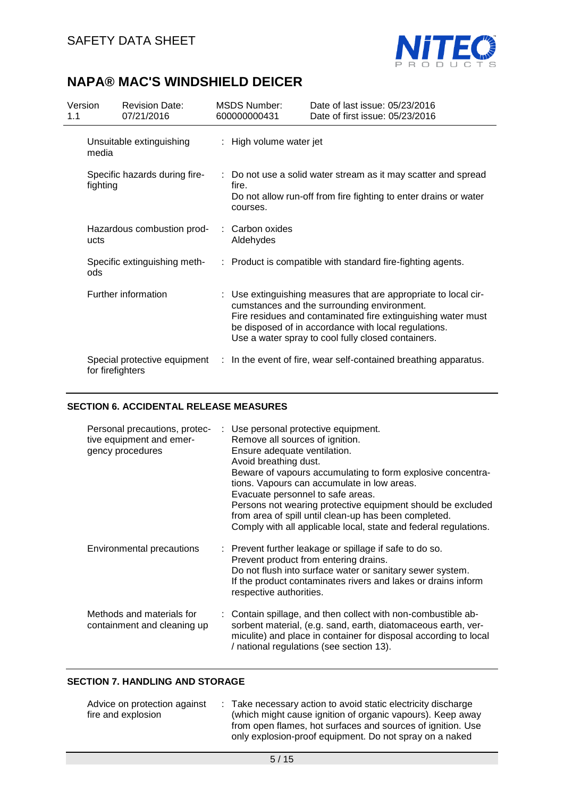

| Version<br>1.1                    |                                                  | <b>Revision Date:</b><br>07/21/2016 |                         | <b>MSDS Number:</b><br>600000000431                                                                                                                     | Date of last issue: 05/23/2016<br>Date of first issue: 05/23/2016                                                                                                                                                                                                                            |  |
|-----------------------------------|--------------------------------------------------|-------------------------------------|-------------------------|---------------------------------------------------------------------------------------------------------------------------------------------------------|----------------------------------------------------------------------------------------------------------------------------------------------------------------------------------------------------------------------------------------------------------------------------------------------|--|
| Unsuitable extinguishing<br>media |                                                  |                                     | : High volume water jet |                                                                                                                                                         |                                                                                                                                                                                                                                                                                              |  |
|                                   | Specific hazards during fire-<br>fighting        |                                     |                         | : Do not use a solid water stream as it may scatter and spread<br>fire.<br>Do not allow run-off from fire fighting to enter drains or water<br>courses. |                                                                                                                                                                                                                                                                                              |  |
|                                   | Hazardous combustion prod-<br>ucts               |                                     |                         | Carbon oxides<br>Aldehydes                                                                                                                              |                                                                                                                                                                                                                                                                                              |  |
|                                   | Specific extinguishing meth-<br>ods              |                                     |                         |                                                                                                                                                         | : Product is compatible with standard fire-fighting agents.                                                                                                                                                                                                                                  |  |
|                                   | Further information                              |                                     |                         |                                                                                                                                                         | : Use extinguishing measures that are appropriate to local cir-<br>cumstances and the surrounding environment.<br>Fire residues and contaminated fire extinguishing water must<br>be disposed of in accordance with local regulations.<br>Use a water spray to cool fully closed containers. |  |
|                                   | Special protective equipment<br>for firefighters |                                     |                         | : In the event of fire, wear self-contained breathing apparatus.                                                                                        |                                                                                                                                                                                                                                                                                              |  |

#### **SECTION 6. ACCIDENTAL RELEASE MEASURES**

| Personal precautions, protec-<br>tive equipment and emer-<br>gency procedures | : Use personal protective equipment.<br>Remove all sources of ignition.<br>Ensure adequate ventilation.<br>Avoid breathing dust.<br>Beware of vapours accumulating to form explosive concentra-<br>tions. Vapours can accumulate in low areas.<br>Evacuate personnel to safe areas.<br>Persons not wearing protective equipment should be excluded<br>from area of spill until clean-up has been completed.<br>Comply with all applicable local, state and federal regulations. |
|-------------------------------------------------------------------------------|---------------------------------------------------------------------------------------------------------------------------------------------------------------------------------------------------------------------------------------------------------------------------------------------------------------------------------------------------------------------------------------------------------------------------------------------------------------------------------|
| Environmental precautions                                                     | : Prevent further leakage or spillage if safe to do so.<br>Prevent product from entering drains.<br>Do not flush into surface water or sanitary sewer system.<br>If the product contaminates rivers and lakes or drains inform<br>respective authorities.                                                                                                                                                                                                                       |
| Methods and materials for<br>containment and cleaning up                      | : Contain spillage, and then collect with non-combustible ab-<br>sorbent material, (e.g. sand, earth, diatomaceous earth, ver-<br>miculite) and place in container for disposal according to local<br>/ national regulations (see section 13).                                                                                                                                                                                                                                  |

### **SECTION 7. HANDLING AND STORAGE**

| Advice on protection against |  | : Take necessary action to avoid static electricity discharge |
|------------------------------|--|---------------------------------------------------------------|
| fire and explosion           |  | (which might cause ignition of organic vapours). Keep away    |
|                              |  | from open flames, hot surfaces and sources of ignition. Use   |
|                              |  | only explosion-proof equipment. Do not spray on a naked       |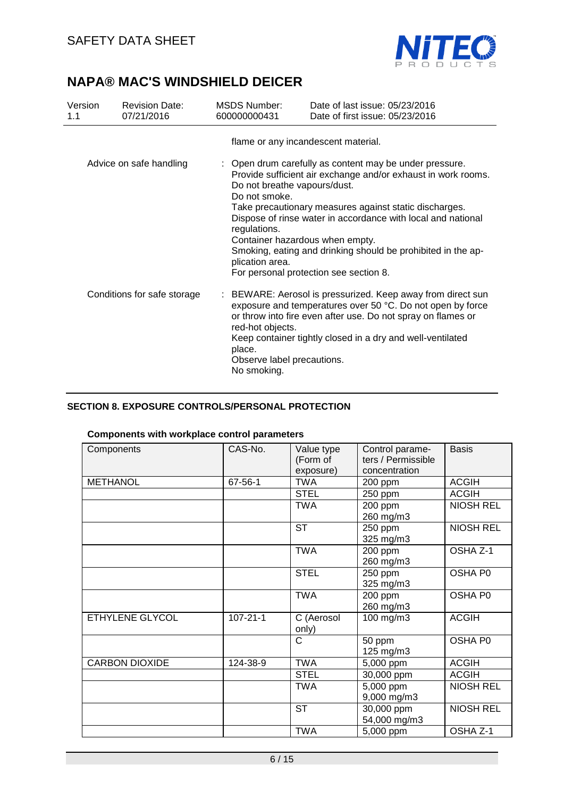

| Version<br>1.1              | <b>Revision Date:</b><br>07/21/2016 | MSDS Number:<br>600000000431                                                                                                                                                                                                                                                                                                                                                                                                                                                        | Date of last issue: 05/23/2016<br>Date of first issue: 05/23/2016                                                                                                                                                                                       |
|-----------------------------|-------------------------------------|-------------------------------------------------------------------------------------------------------------------------------------------------------------------------------------------------------------------------------------------------------------------------------------------------------------------------------------------------------------------------------------------------------------------------------------------------------------------------------------|---------------------------------------------------------------------------------------------------------------------------------------------------------------------------------------------------------------------------------------------------------|
|                             |                                     |                                                                                                                                                                                                                                                                                                                                                                                                                                                                                     | flame or any incandescent material.                                                                                                                                                                                                                     |
| Advice on safe handling     |                                     | : Open drum carefully as content may be under pressure.<br>Provide sufficient air exchange and/or exhaust in work rooms.<br>Do not breathe vapours/dust.<br>Do not smoke.<br>Take precautionary measures against static discharges.<br>Dispose of rinse water in accordance with local and national<br>regulations.<br>Container hazardous when empty.<br>Smoking, eating and drinking should be prohibited in the ap-<br>plication area.<br>For personal protection see section 8. |                                                                                                                                                                                                                                                         |
| Conditions for safe storage |                                     | red-hot objects.<br>place.<br>Observe label precautions.<br>No smoking.                                                                                                                                                                                                                                                                                                                                                                                                             | : BEWARE: Aerosol is pressurized. Keep away from direct sun<br>exposure and temperatures over 50 °C. Do not open by force<br>or throw into fire even after use. Do not spray on flames or<br>Keep container tightly closed in a dry and well-ventilated |

## **SECTION 8. EXPOSURE CONTROLS/PERSONAL PROTECTION**

### **Components with workplace control parameters**

| Components            | CAS-No.        | Value type<br>(Form of<br>exposure) | Control parame-<br>ters / Permissible<br>concentration | <b>Basis</b>     |
|-----------------------|----------------|-------------------------------------|--------------------------------------------------------|------------------|
| <b>METHANOL</b>       | 67-56-1        | <b>TWA</b>                          | 200 ppm                                                | <b>ACGIH</b>     |
|                       |                | <b>STEL</b>                         | 250 ppm                                                | <b>ACGIH</b>     |
|                       |                | <b>TWA</b>                          | 200 ppm<br>260 mg/m3                                   | <b>NIOSH REL</b> |
|                       |                | <b>ST</b>                           | 250 ppm<br>325 mg/m3                                   | <b>NIOSH REL</b> |
|                       |                | <b>TWA</b>                          | 200 ppm<br>260 mg/m3                                   | OSHA Z-1         |
|                       |                | <b>STEL</b>                         | 250 ppm<br>325 mg/m3                                   | OSHA P0          |
|                       |                | <b>TWA</b>                          | 200 ppm<br>260 mg/m3                                   | OSHA P0          |
| ETHYLENE GLYCOL       | $107 - 21 - 1$ | C (Aerosol<br>only)                 | 100 mg/m3                                              | <b>ACGIH</b>     |
|                       |                | C                                   | 50 ppm<br>125 mg/m3                                    | OSHA P0          |
| <b>CARBON DIOXIDE</b> | 124-38-9       | <b>TWA</b>                          | 5,000 ppm                                              | <b>ACGIH</b>     |
|                       |                | <b>STEL</b>                         | 30,000 ppm                                             | <b>ACGIH</b>     |
|                       |                | <b>TWA</b>                          | 5,000 ppm<br>9,000 mg/m3                               | <b>NIOSH REL</b> |
|                       |                | <b>ST</b>                           | 30,000 ppm<br>54,000 mg/m3                             | <b>NIOSH REL</b> |
|                       |                | <b>TWA</b>                          | 5,000 ppm                                              | OSHA Z-1         |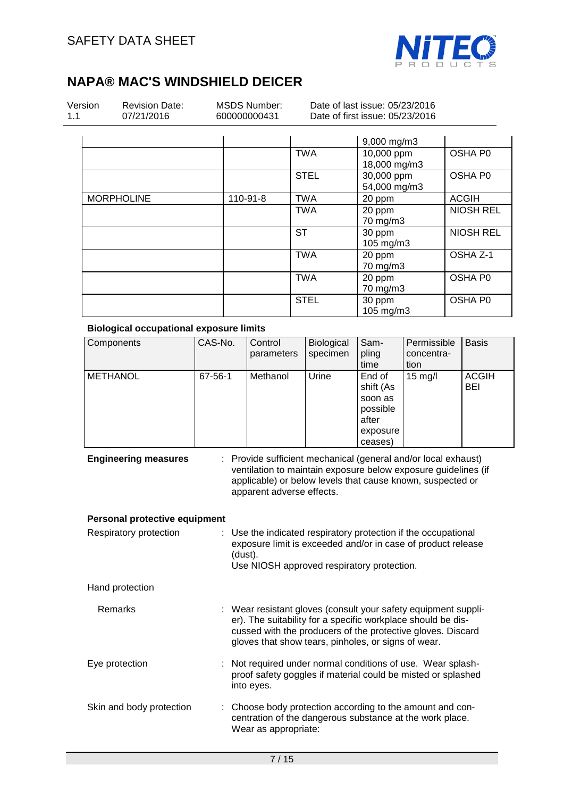

| Version |  |
|---------|--|
| 11      |  |

Revision Date: 07/21/2016

MSDS Number: 600000000431

Date of last issue: 05/23/2016 Date of first issue: 05/23/2016

|                   |          |             | 9,000 mg/m3  |                  |
|-------------------|----------|-------------|--------------|------------------|
|                   |          | <b>TWA</b>  | 10,000 ppm   | OSHA P0          |
|                   |          |             | 18,000 mg/m3 |                  |
|                   |          | <b>STEL</b> | 30,000 ppm   | OSHA P0          |
|                   |          |             | 54,000 mg/m3 |                  |
| <b>MORPHOLINE</b> | 110-91-8 | <b>TWA</b>  | 20 ppm       | <b>ACGIH</b>     |
|                   |          | <b>TWA</b>  | 20 ppm       | <b>NIOSH REL</b> |
|                   |          |             | 70 mg/m3     |                  |
|                   |          | <b>ST</b>   | 30 ppm       | <b>NIOSH REL</b> |
|                   |          |             | 105 mg/m3    |                  |
|                   |          | <b>TWA</b>  | 20 ppm       | OSHA Z-1         |
|                   |          |             | 70 mg/m3     |                  |
|                   |          | <b>TWA</b>  | 20 ppm       | OSHA P0          |
|                   |          |             | 70 mg/m3     |                  |
|                   |          | <b>STEL</b> | 30 ppm       | OSHA P0          |
|                   |          |             | 105 mg/m3    |                  |

#### **Biological occupational exposure limits**

| Components      | CAS-No. | Control<br>parameters | Biological<br>specimen | Sam-<br>pling<br>time                                                      | Permissible<br>concentra-<br>tion | <b>Basis</b>        |
|-----------------|---------|-----------------------|------------------------|----------------------------------------------------------------------------|-----------------------------------|---------------------|
| <b>METHANOL</b> | 67-56-1 | Methanol              | Urine                  | End of<br>shift (As<br>soon as<br>possible<br>after<br>exposure<br>ceases) | $15 \text{ mg/l}$                 | <b>ACGIH</b><br>BEI |

**Engineering measures** : Provide sufficient mechanical (general and/or local exhaust) ventilation to maintain exposure below exposure guidelines (if applicable) or below levels that cause known, suspected or apparent adverse effects.

#### **Personal protective equipment**

| Respiratory protection   | : Use the indicated respiratory protection if the occupational<br>exposure limit is exceeded and/or in case of product release<br>(dust).<br>Use NIOSH approved respiratory protection.                                                              |  |
|--------------------------|------------------------------------------------------------------------------------------------------------------------------------------------------------------------------------------------------------------------------------------------------|--|
| Hand protection          |                                                                                                                                                                                                                                                      |  |
| Remarks                  | : Wear resistant gloves (consult your safety equipment suppli-<br>er). The suitability for a specific workplace should be dis-<br>cussed with the producers of the protective gloves. Discard<br>gloves that show tears, pinholes, or signs of wear. |  |
| Eye protection           | : Not required under normal conditions of use. Wear splash-<br>proof safety goggles if material could be misted or splashed<br>into eyes.                                                                                                            |  |
| Skin and body protection | : Choose body protection according to the amount and con-<br>centration of the dangerous substance at the work place.<br>Wear as appropriate:                                                                                                        |  |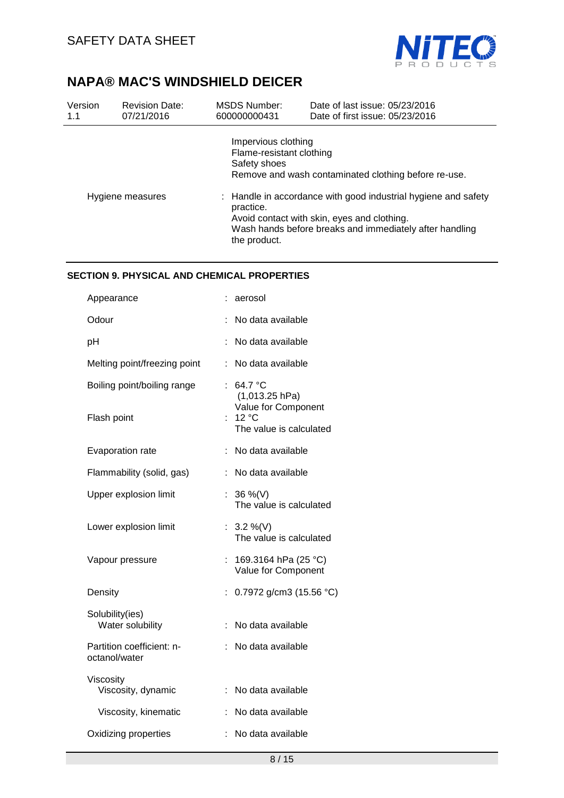

| Version<br>1.1   | <b>Revision Date:</b><br>07/21/2016 | MSDS Number:<br>600000000431                                    | Date of last issue: 05/23/2016<br>Date of first issue: 05/23/2016                                                                                                        |
|------------------|-------------------------------------|-----------------------------------------------------------------|--------------------------------------------------------------------------------------------------------------------------------------------------------------------------|
|                  |                                     | Impervious clothing<br>Flame-resistant clothing<br>Safety shoes | Remove and wash contaminated clothing before re-use.                                                                                                                     |
| Hygiene measures |                                     | practice.<br>the product.                                       | : Handle in accordance with good industrial hygiene and safety<br>Avoid contact with skin, eyes and clothing.<br>Wash hands before breaks and immediately after handling |

### **SECTION 9. PHYSICAL AND CHEMICAL PROPERTIES**

| Appearance                                 |    | aerosol                                            |
|--------------------------------------------|----|----------------------------------------------------|
| Odour                                      |    | No data available                                  |
| pH                                         |    | No data available                                  |
| Melting point/freezing point               |    | No data available                                  |
| Boiling point/boiling range                |    | 64.7 °C<br>$(1,013.25$ hPa)<br>Value for Component |
| Flash point                                | ÷. | 12 °C<br>The value is calculated                   |
| Evaporation rate                           | ÷  | No data available                                  |
| Flammability (solid, gas)                  |    | No data available                                  |
| Upper explosion limit                      | ÷. | 36 %(V)<br>The value is calculated                 |
| Lower explosion limit                      |    | : $3.2\%$ (V)<br>The value is calculated           |
| Vapour pressure                            | t. | 169.3164 hPa (25 °C)<br>Value for Component        |
| Density                                    | ÷  | 0.7972 g/cm3 (15.56 °C)                            |
| Solubility(ies)<br>Water solubility        |    | No data available                                  |
| Partition coefficient: n-<br>octanol/water |    | No data available                                  |
| Viscosity<br>Viscosity, dynamic            |    | No data available                                  |
| Viscosity, kinematic                       | ÷  | No data available                                  |
| Oxidizing properties                       |    | No data available                                  |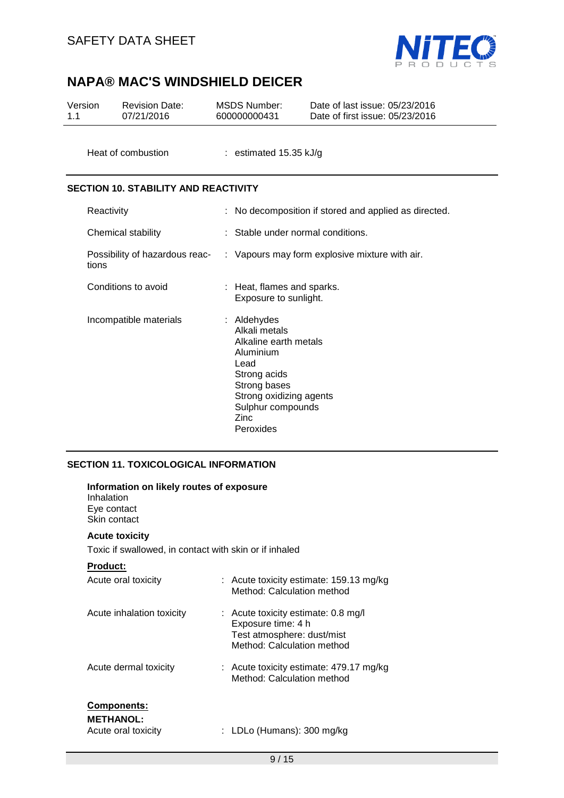

| Version<br>1.1                              |            | <b>Revision Date:</b><br>07/21/2016 |  | <b>MSDS Number:</b><br>600000000431                                                                                                                                             | Date of last issue: 05/23/2016<br>Date of first issue: 05/23/2016 |  |
|---------------------------------------------|------------|-------------------------------------|--|---------------------------------------------------------------------------------------------------------------------------------------------------------------------------------|-------------------------------------------------------------------|--|
|                                             |            | Heat of combustion                  |  | : estimated $15.35$ kJ/g                                                                                                                                                        |                                                                   |  |
| <b>SECTION 10. STABILITY AND REACTIVITY</b> |            |                                     |  |                                                                                                                                                                                 |                                                                   |  |
|                                             | Reactivity |                                     |  |                                                                                                                                                                                 | : No decomposition if stored and applied as directed.             |  |
|                                             |            | Chemical stability                  |  | Stable under normal conditions.                                                                                                                                                 |                                                                   |  |
|                                             | tions      | Possibility of hazardous reac-      |  |                                                                                                                                                                                 | : Vapours may form explosive mixture with air.                    |  |
|                                             |            | Conditions to avoid                 |  | : Heat, flames and sparks.<br>Exposure to sunlight.                                                                                                                             |                                                                   |  |
|                                             |            | Incompatible materials              |  | : Aldehydes<br>Alkali metals<br>Alkaline earth metals<br>Aluminium<br>Lead<br>Strong acids<br>Strong bases<br>Strong oxidizing agents<br>Sulphur compounds<br>Zinc<br>Peroxides |                                                                   |  |

## **SECTION 11. TOXICOLOGICAL INFORMATION**

| Information on likely routes of exposure<br>Inhalation<br>Eye contact<br>Skin contact |                                                                                                                       |
|---------------------------------------------------------------------------------------|-----------------------------------------------------------------------------------------------------------------------|
| <b>Acute toxicity</b>                                                                 |                                                                                                                       |
| Toxic if swallowed, in contact with skin or if inhaled                                |                                                                                                                       |
| <b>Product:</b>                                                                       |                                                                                                                       |
| Acute oral toxicity                                                                   | : Acute toxicity estimate: 159.13 mg/kg<br>Method: Calculation method                                                 |
| Acute inhalation toxicity                                                             | : Acute toxicity estimate: 0.8 mg/l<br>Exposure time: 4 h<br>Test atmosphere: dust/mist<br>Method: Calculation method |
| Acute dermal toxicity                                                                 | : Acute toxicity estimate: $479.17 \text{ mg/kg}$<br>Method: Calculation method                                       |
| <u>Components:</u><br><b>METHANOL:</b><br>Acute oral toxicity                         | : LDLo (Humans): 300 mg/kg                                                                                            |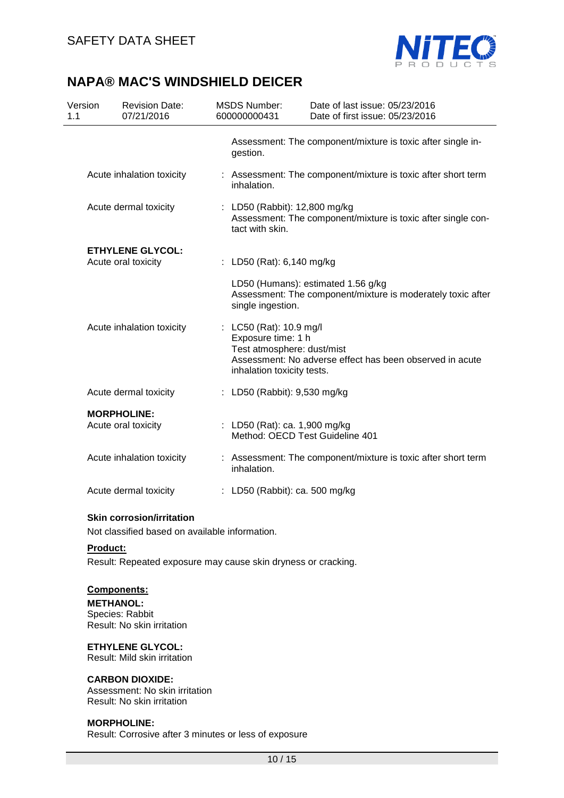

| Version<br>1.1 | <b>Revision Date:</b><br>07/21/2016                                                | <b>MSDS Number:</b><br>600000000431                                                                                                                                   | Date of last issue: 05/23/2016<br>Date of first issue: 05/23/2016                                 |  |  |
|----------------|------------------------------------------------------------------------------------|-----------------------------------------------------------------------------------------------------------------------------------------------------------------------|---------------------------------------------------------------------------------------------------|--|--|
|                |                                                                                    | gestion.                                                                                                                                                              | Assessment: The component/mixture is toxic after single in-                                       |  |  |
|                | Acute inhalation toxicity                                                          | : Assessment: The component/mixture is toxic after short term<br>inhalation.                                                                                          |                                                                                                   |  |  |
|                | Acute dermal toxicity                                                              | : LD50 (Rabbit): 12,800 mg/kg<br>Assessment: The component/mixture is toxic after single con-<br>tact with skin.                                                      |                                                                                                   |  |  |
|                | <b>ETHYLENE GLYCOL:</b><br>Acute oral toxicity                                     | : LD50 (Rat): 6,140 mg/kg                                                                                                                                             |                                                                                                   |  |  |
|                |                                                                                    | single ingestion.                                                                                                                                                     | LD50 (Humans): estimated 1.56 g/kg<br>Assessment: The component/mixture is moderately toxic after |  |  |
|                | Acute inhalation toxicity                                                          | : LC50 (Rat): 10.9 mg/l<br>Exposure time: 1 h<br>Test atmosphere: dust/mist<br>Assessment: No adverse effect has been observed in acute<br>inhalation toxicity tests. |                                                                                                   |  |  |
|                | Acute dermal toxicity                                                              | : LD50 (Rabbit): 9,530 mg/kg                                                                                                                                          |                                                                                                   |  |  |
|                | <b>MORPHOLINE:</b><br>Acute oral toxicity                                          | : LD50 (Rat): ca. 1,900 mg/kg<br>Method: OECD Test Guideline 401                                                                                                      |                                                                                                   |  |  |
|                | Acute inhalation toxicity                                                          | : Assessment: The component/mixture is toxic after short term<br>inhalation.                                                                                          |                                                                                                   |  |  |
|                | Acute dermal toxicity                                                              | : LD50 (Rabbit): ca. 500 mg/kg                                                                                                                                        |                                                                                                   |  |  |
|                | <b>Skin corrosion/irritation</b><br>Not classified based on available information. |                                                                                                                                                                       |                                                                                                   |  |  |

## **Product:**

Result: Repeated exposure may cause skin dryness or cracking.

### **Components:**

**METHANOL:**  Species: Rabbit Result: No skin irritation

#### **ETHYLENE GLYCOL:**

Result: Mild skin irritation

### **CARBON DIOXIDE:**

Assessment: No skin irritation Result: No skin irritation

#### **MORPHOLINE:**

Result: Corrosive after 3 minutes or less of exposure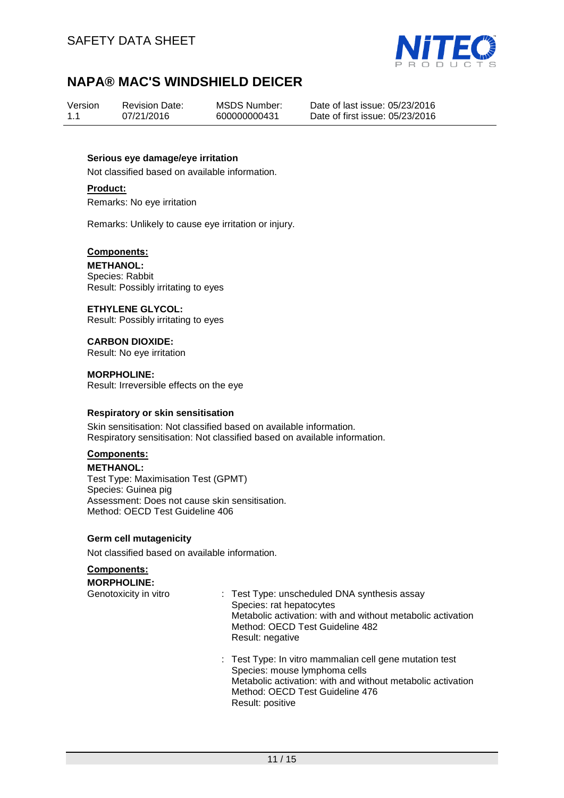

Version 1.1 07/21/2016

Revision Date:

MSDS Number: 600000000431

Date of last issue: 05/23/2016 Date of first issue: 05/23/2016

#### **Serious eye damage/eye irritation**

Not classified based on available information.

#### **Product:**

Remarks: No eye irritation

Remarks: Unlikely to cause eye irritation or injury.

#### **Components:**

**METHANOL:**  Species: Rabbit Result: Possibly irritating to eyes

**ETHYLENE GLYCOL:**  Result: Possibly irritating to eyes

**CARBON DIOXIDE:**  Result: No eye irritation

**MORPHOLINE:**  Result: Irreversible effects on the eye

#### **Respiratory or skin sensitisation**

Skin sensitisation: Not classified based on available information. Respiratory sensitisation: Not classified based on available information.

### **Components:**

**METHANOL:**  Test Type: Maximisation Test (GPMT) Species: Guinea pig Assessment: Does not cause skin sensitisation. Method: OECD Test Guideline 406

#### **Germ cell mutagenicity**

Not classified based on available information.

## **Components:**

**MORPHOLINE:** 

Genotoxicity in vitro : Test Type: unscheduled DNA synthesis assay Species: rat hepatocytes Metabolic activation: with and without metabolic activation Method: OECD Test Guideline 482 Result: negative

> : Test Type: In vitro mammalian cell gene mutation test Species: mouse lymphoma cells Metabolic activation: with and without metabolic activation Method: OECD Test Guideline 476 Result: positive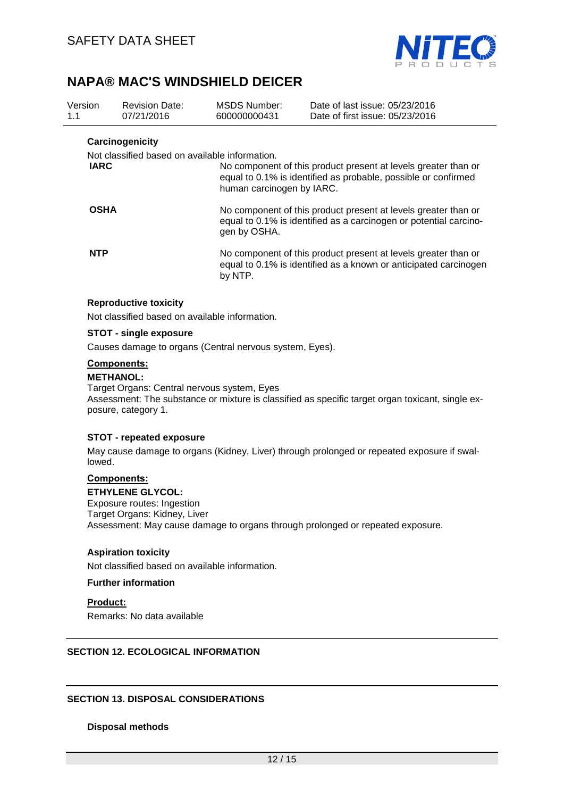

| Version<br>1.1 | <b>Revision Date:</b><br>07/21/2016            | MSDS Number:<br>600000000431                                                                                                                        | Date of last issue: 05/23/2016<br>Date of first issue: 05/23/2016                                                                  |  |  |
|----------------|------------------------------------------------|-----------------------------------------------------------------------------------------------------------------------------------------------------|------------------------------------------------------------------------------------------------------------------------------------|--|--|
|                | Carcinogenicity                                |                                                                                                                                                     |                                                                                                                                    |  |  |
|                | Not classified based on available information. |                                                                                                                                                     |                                                                                                                                    |  |  |
| <b>IARC</b>    |                                                | human carcinogen by IARC.                                                                                                                           | No component of this product present at levels greater than or<br>equal to 0.1% is identified as probable, possible or confirmed   |  |  |
| <b>OSHA</b>    |                                                | No component of this product present at levels greater than or<br>equal to 0.1% is identified as a carcinogen or potential carcino-<br>gen by OSHA. |                                                                                                                                    |  |  |
| <b>NTP</b>     |                                                | by NTP.                                                                                                                                             | No component of this product present at levels greater than or<br>equal to 0.1% is identified as a known or anticipated carcinogen |  |  |

#### **Reproductive toxicity**

Not classified based on available information.

#### **STOT - single exposure**

Causes damage to organs (Central nervous system, Eyes).

### **Components:**

#### **METHANOL:**

Target Organs: Central nervous system, Eyes Assessment: The substance or mixture is classified as specific target organ toxicant, single exposure, category 1.

#### **STOT - repeated exposure**

May cause damage to organs (Kidney, Liver) through prolonged or repeated exposure if swallowed.

## **Components:**

**ETHYLENE GLYCOL:**  Exposure routes: Ingestion Target Organs: Kidney, Liver Assessment: May cause damage to organs through prolonged or repeated exposure.

#### **Aspiration toxicity**

Not classified based on available information.

#### **Further information**

#### **Product:**

Remarks: No data available

#### **SECTION 12. ECOLOGICAL INFORMATION**

#### **SECTION 13. DISPOSAL CONSIDERATIONS**

#### **Disposal methods**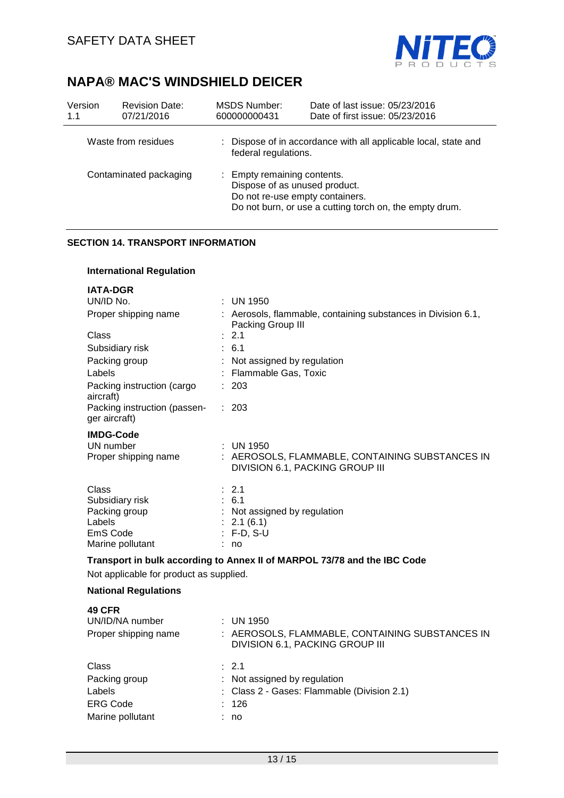

| Version<br>1.1 | <b>Revision Date:</b><br>07/21/2016 | MSDS Number:<br>600000000431                                 | Date of last issue: 05/23/2016<br>Date of first issue: 05/23/2016                          |
|----------------|-------------------------------------|--------------------------------------------------------------|--------------------------------------------------------------------------------------------|
|                | Waste from residues                 | federal regulations.                                         | : Dispose of in accordance with all applicable local, state and                            |
|                | Contaminated packaging              | : Empty remaining contents.<br>Dispose of as unused product. | Do not re-use empty containers.<br>Do not burn, or use a cutting torch on, the empty drum. |

### **SECTION 14. TRANSPORT INFORMATION**

### **International Regulation**

| <b>IATA-DGR</b>                                                          |   |                                                                                    |  |  |
|--------------------------------------------------------------------------|---|------------------------------------------------------------------------------------|--|--|
| UN/ID No.                                                                |   | $:$ UN 1950                                                                        |  |  |
| Proper shipping name                                                     |   | : Aerosols, flammable, containing substances in Division 6.1,<br>Packing Group III |  |  |
| Class                                                                    |   | $\therefore$ 2.1                                                                   |  |  |
| Subsidiary risk                                                          |   | : 6.1                                                                              |  |  |
| Packing group                                                            | ÷ | Not assigned by regulation                                                         |  |  |
| Labels                                                                   |   | Flammable Gas, Toxic                                                               |  |  |
| Packing instruction (cargo<br>aircraft)                                  |   | : 203                                                                              |  |  |
| Packing instruction (passen-<br>ger aircraft)                            |   | : 203                                                                              |  |  |
| <b>IMDG-Code</b>                                                         |   |                                                                                    |  |  |
| UN number                                                                |   | $:$ UN 1950                                                                        |  |  |
| Proper shipping name                                                     |   | : AEROSOLS, FLAMMABLE, CONTAINING SUBSTANCES IN<br>DIVISION 6.1, PACKING GROUP III |  |  |
| Class                                                                    |   | $\therefore$ 2.1                                                                   |  |  |
| Subsidiary risk                                                          |   | : 6.1                                                                              |  |  |
| Packing group                                                            |   | : Not assigned by regulation                                                       |  |  |
| Labels                                                                   |   | 2.1(6.1)                                                                           |  |  |
| EmS Code<br>Marine pollutant                                             |   | $F-D, S-U$<br>no                                                                   |  |  |
|                                                                          |   |                                                                                    |  |  |
| Transport in bulk according to Annex II of MARPOL 73/78 and the IBC Code |   |                                                                                    |  |  |
| Not applicable for product as supplied.                                  |   |                                                                                    |  |  |
| <b>National Regulations</b>                                              |   |                                                                                    |  |  |
| <b>49 CFR</b>                                                            |   |                                                                                    |  |  |
| UN/ID/NA number                                                          |   | $:$ UN 1950                                                                        |  |  |
| Proper shipping name                                                     |   | : AEROSOLS, FLAMMABLE, CONTAINING SUBSTANCES IN<br>DIVISION 6.1, PACKING GROUP III |  |  |

| Class            | $\therefore$ 2.1                              |
|------------------|-----------------------------------------------|
| Packing group    | $\therefore$ Not assigned by regulation       |
| Labels           | : Class $2$ - Gases: Flammable (Division 2.1) |
| <b>ERG Code</b>  | : 126                                         |
| Marine pollutant | : no                                          |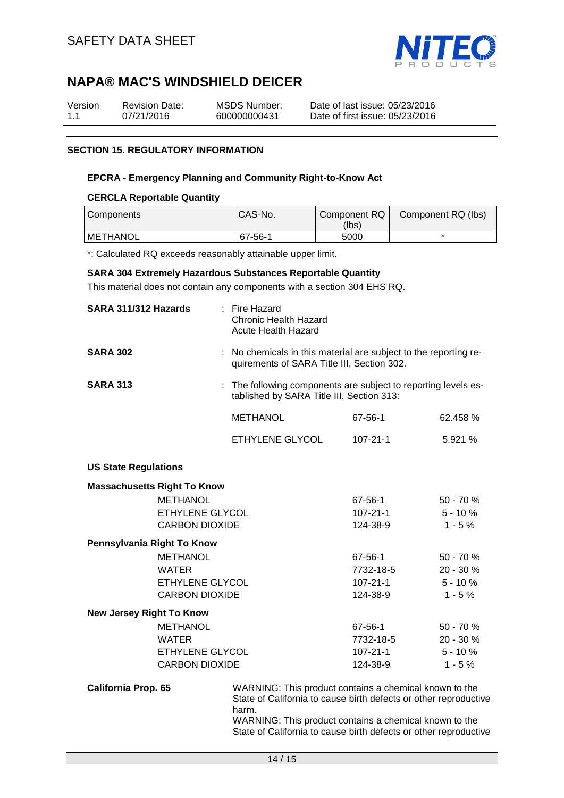

| Version | <b>Revision Date:</b> | MSDS Number: | Date of last issue: 05/23/2016  |
|---------|-----------------------|--------------|---------------------------------|
| 1.1     | 07/21/2016            | 600000000431 | Date of first issue: 05/23/2016 |

### **SECTION 15. REGULATORY INFORMATION**

#### **EPCRA - Emergency Planning and Community Right-to-Know Act**

#### **CERCLA Reportable Quantity**

| Components      | CAS-No. | Component RQ I | Component RQ (lbs) |
|-----------------|---------|----------------|--------------------|
|                 |         | (lbs)          |                    |
| <b>METHANOL</b> | 67-56-1 | 5000           |                    |

\*: Calculated RQ exceeds reasonably attainable upper limit.

#### **SARA 304 Extremely Hazardous Substances Reportable Quantity**

This material does not contain any components with a section 304 EHS RQ.

| SARA 311/312 Hazards            |                                    | $:$ Fire Hazard<br><b>Chronic Health Hazard</b><br><b>Acute Health Hazard</b>                                  |           |             |
|---------------------------------|------------------------------------|----------------------------------------------------------------------------------------------------------------|-----------|-------------|
| <b>SARA 302</b>                 |                                    | : No chemicals in this material are subject to the reporting re-<br>quirements of SARA Title III, Section 302. |           |             |
| <b>SARA 313</b>                 |                                    | : The following components are subject to reporting levels es-<br>tablished by SARA Title III, Section 313:    |           |             |
|                                 |                                    | <b>METHANOL</b>                                                                                                | 67-56-1   | 62.458 %    |
|                                 |                                    | ETHYLENE GLYCOL                                                                                                | 107-21-1  | 5.921%      |
| <b>US State Regulations</b>     |                                    |                                                                                                                |           |             |
|                                 | <b>Massachusetts Right To Know</b> |                                                                                                                |           |             |
|                                 | <b>METHANOL</b>                    |                                                                                                                | 67-56-1   | $50 - 70%$  |
|                                 | ETHYLENE GLYCOL                    |                                                                                                                | 107-21-1  | $5 - 10%$   |
|                                 | <b>CARBON DIOXIDE</b>              |                                                                                                                | 124-38-9  | $1 - 5%$    |
| Pennsylvania Right To Know      |                                    |                                                                                                                |           |             |
|                                 | <b>METHANOL</b>                    |                                                                                                                | 67-56-1   | 50 - 70 %   |
|                                 | <b>WATER</b>                       |                                                                                                                | 7732-18-5 | 20 - 30 %   |
|                                 | ETHYLENE GLYCOL                    |                                                                                                                | 107-21-1  | $5 - 10 \%$ |
|                                 | <b>CARBON DIOXIDE</b>              |                                                                                                                | 124-38-9  | $1 - 5%$    |
| <b>New Jersey Right To Know</b> |                                    |                                                                                                                |           |             |
|                                 | <b>METHANOL</b>                    |                                                                                                                | 67-56-1   | 50 - 70 %   |
|                                 | <b>WATER</b>                       |                                                                                                                | 7732-18-5 | 20 - 30 %   |
|                                 | ETHYLENE GLYCOL                    |                                                                                                                | 107-21-1  | $5 - 10%$   |
|                                 | <b>CARBON DIOXIDE</b>              |                                                                                                                | 124-38-9  | $1 - 5%$    |
|                                 |                                    |                                                                                                                |           |             |

**California Prop. 65** WARNING: This product contains a chemical known to the State of California to cause birth defects or other reproductive harm.

WARNING: This product contains a chemical known to the State of California to cause birth defects or other reproductive